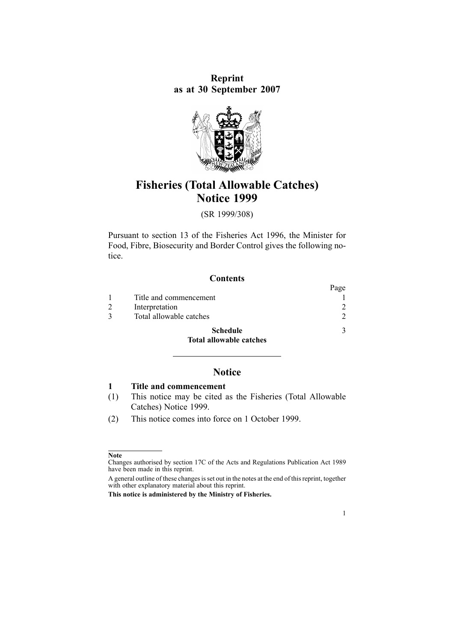**Reprint as at 30 September 2007**



# **Fisheries (Total Allowable Catches) Notice 1999**

(SR 1999/308)

Pursuant to [section](http://www.legislation.govt.nz/pdflink.aspx?id=DLM395507) 13 of the Fisheries Act 1996, the Minister for Food, Fibre, Biosecurity and Border Control gives the following notice.

| <b>Contents</b> |
|-----------------|
|-----------------|

|                                | Page |
|--------------------------------|------|
| Title and commencement         |      |
| Interpretation                 |      |
| Total allowable catches        | 2    |
| <b>Schedule</b>                | 3    |
| <b>Total allowable catches</b> |      |

# **Notice**

**1 Title and commencement**

- (1) This notice may be cited as the Fisheries (Total Allowable Catches) Notice 1999.
- (2) This notice comes into force on 1 October 1999.

1

**Note**

Changes authorised by [section](http://www.legislation.govt.nz/pdflink.aspx?id=DLM195466) 17C of the Acts and Regulations Publication Act 1989 have been made in this reprint.

A general outline of these changes is set out in the notes at the end of this reprint, together with other explanatory material about this reprint.

**This notice is administered by the Ministry of Fisheries.**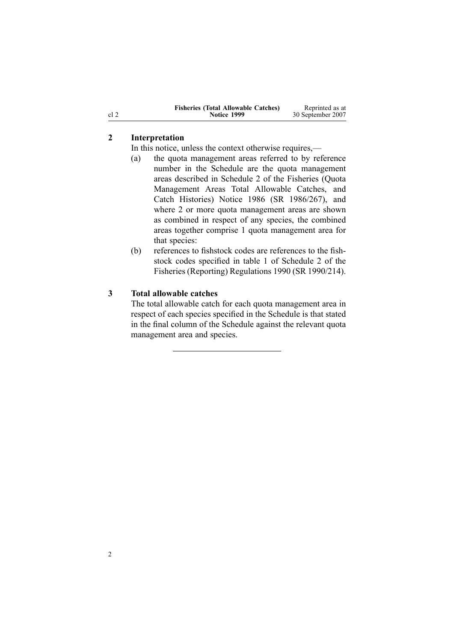<span id="page-1-0"></span>

| <b>Fisheries (Total Allowable Catches)</b> | Reprinted as at   |
|--------------------------------------------|-------------------|
| Notice 1999                                | 30 September 2007 |

## **2 Interpretation**

In this notice, unless the context otherwise requires,—

- (a) the quota managemen<sup>t</sup> areas referred to by reference number in the [Schedule](#page-2-0) are the quota managemen<sup>t</sup> areas described in [Schedule](http://www.legislation.govt.nz/pdflink.aspx?id=DLM117058) 2 of the Fisheries (Quota Management Areas Total Allowable Catches, and Catch Histories) Notice 1986 (SR 1986/267), and where 2 or more quota managemen<sup>t</sup> areas are shown as combined in respec<sup>t</sup> of any species, the combined areas together comprise 1 quota managemen<sup>t</sup> area for that species:
- (b) references to fishstock codes are references to the fishstock codes specified in table 1 of Schedule 2 of the Fisheries (Reporting) Regulations 1990 (SR 1990/214).

#### **3 Total allowable catches**

The total allowable catch for each quota managemen<sup>t</sup> area in respec<sup>t</sup> of each species specified in the [Schedule](#page-2-0) is that stated in the final column of the Schedule against the relevant quota managemen<sup>t</sup> area and species.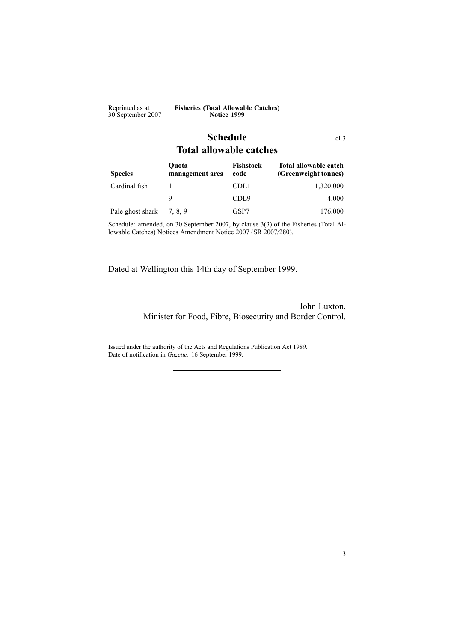<span id="page-2-0"></span>

| Reprinted as at<br>30 September 2007                                 | <b>Fisheries (Total Allowable Catches)</b><br>Notice 1999 |                   |                                               |  |  |  |  |
|----------------------------------------------------------------------|-----------------------------------------------------------|-------------------|-----------------------------------------------|--|--|--|--|
| <b>Schedule</b><br>cl <sub>3</sub><br><b>Total allowable catches</b> |                                                           |                   |                                               |  |  |  |  |
| <b>Species</b>                                                       | Ouota<br>management area                                  | Fishstock<br>code | Total allowable catch<br>(Greenweight tonnes) |  |  |  |  |
| Cardinal fish                                                        | 1                                                         | CDL1              | 1,320.000                                     |  |  |  |  |
|                                                                      | 9                                                         | CDL <sub>9</sub>  | 4.000                                         |  |  |  |  |
| Pale ghost shark                                                     | 7, 8, 9                                                   | GSP7              | 176.000                                       |  |  |  |  |

Schedule: amended, on 30 September 2007, by [clause](http://www.legislation.govt.nz/pdflink.aspx?id=DLM973168) 3(3) of the Fisheries (Total Allowable Catches) Notices Amendment Notice 2007 (SR 2007/280).

Dated at Wellington this 14th day of September 1999.

John Luxton, Minister for Food, Fibre, Biosecurity and Border Control.

Issued under the authority of the Acts and [Regulations](http://www.legislation.govt.nz/pdflink.aspx?id=DLM195097) Publication Act 1989. Date of notification in *Gazette*: 16 September 1999.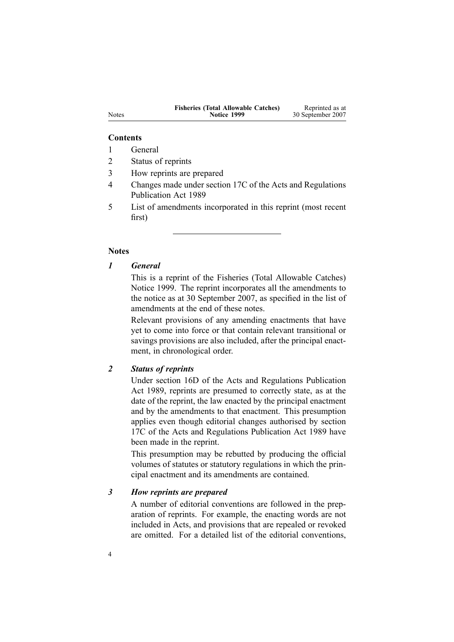| <b>Fisheries (Total Allowable Catches)</b> | Reprinted as at   |
|--------------------------------------------|-------------------|
| <b>Notice 1999</b>                         | 30 September 2007 |

#### **Contents**

1 General

2 Status of reprints

3 How reprints are prepared

4 Changes made under section 17C of the Acts and Regulations Publication Act 1989

5 List of amendments incorporated in this reprint (most recent first)

#### **Notes**

# *1 General*

This is <sup>a</sup> reprint of the Fisheries (Total Allowable Catches) Notice 1999. The reprint incorporates all the amendments to the notice as at 30 September 2007, as specified in the list of amendments at the end of these notes.

Relevant provisions of any amending enactments that have ye<sup>t</sup> to come into force or that contain relevant transitional or savings provisions are also included, after the principal enactment, in chronological order.

## *2 Status of reprints*

Under [section](http://www.legislation.govt.nz/pdflink.aspx?id=DLM195439) 16D of the Acts and Regulations Publication Act 1989, reprints are presumed to correctly state, as at the date of the reprint, the law enacted by the principal enactment and by the amendments to that enactment. This presumption applies even though editorial changes authorised by [section](http://www.legislation.govt.nz/pdflink.aspx?id=DLM195466) [17C](http://www.legislation.govt.nz/pdflink.aspx?id=DLM195466) of the Acts and Regulations Publication Act 1989 have been made in the reprint.

This presumption may be rebutted by producing the official volumes of statutes or statutory regulations in which the principal enactment and its amendments are contained.

## *3 How reprints are prepared*

A number of editorial conventions are followed in the preparation of reprints. For example, the enacting words are not included in Acts, and provisions that are repealed or revoked are omitted. For <sup>a</sup> detailed list of the editorial conventions,

Notes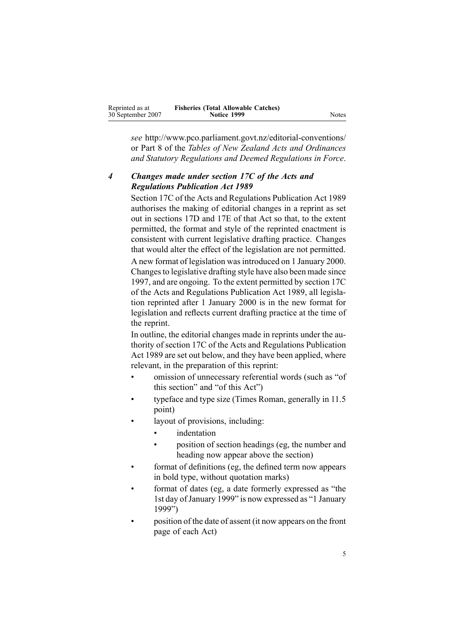| Reprinted as at   | <b>Fisheries (Total Allowable Catches)</b> |
|-------------------|--------------------------------------------|
| 30 September 2007 | Notice 1999                                |

*see* http://www.pco.parliament.govt.nz/editorial-conventions/ or Part 8 of the *Tables of New Zealand Acts and Ordinances and Statutory Regulations and Deemed Regulations in Force*.

## *4 Changes made under section 17C of the Acts and Regulations Publication Act 1989*

[Section](http://www.legislation.govt.nz/pdflink.aspx?id=DLM195466) 17C of the Acts and Regulations Publication Act 1989 authorises the making of editorial changes in <sup>a</sup> reprint as set out in [sections](http://www.legislation.govt.nz/pdflink.aspx?id=DLM195468) 17D and [17E](http://www.legislation.govt.nz/pdflink.aspx?id=DLM195470) of that Act so that, to the extent permitted, the format and style of the reprinted enactment is consistent with current legislative drafting practice. Changes that would alter the effect of the legislation are not permitted. A new format of legislation wasintroduced on 1 January 2000. Changesto legislative drafting style have also been made since 1997, and are ongoing. To the extent permitted by [section](http://www.legislation.govt.nz/pdflink.aspx?id=DLM195466) 17C of the Acts and Regulations Publication Act 1989, all legislation reprinted after 1 January 2000 is in the new format for legislation and reflects current drafting practice at the time of the reprint.

In outline, the editorial changes made in reprints under the authority of [section](http://www.legislation.govt.nz/pdflink.aspx?id=DLM195466) 17C of the Acts and Regulations Publication Act 1989 are set out below, and they have been applied, where relevant, in the preparation of this reprint:

- • omission of unnecessary referential words (such as "of this section" and "of this Act")
- • typeface and type size (Times Roman, generally in 11.5 point)
- • layout of provisions, including:
	- •indentation
	- • position of section headings (eg, the number and heading now appear above the section)
- • format of definitions (eg, the defined term now appears in bold type, without quotation marks)
- • format of dates (eg, <sup>a</sup> date formerly expressed as "the 1st day of January 1999" is now expressed as "1 January 1999")
- • position of the date of assent (it now appears on the front page of each Act)